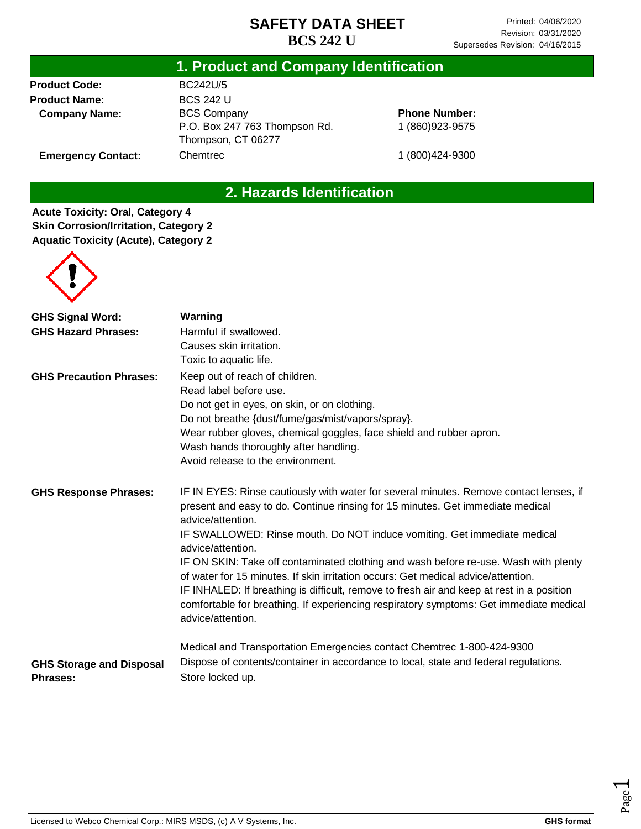## **1. Product and Company Identification**

**Product Code: Product Name: Company Name:**

**Emergency Contact:**

BC242U/5 BCS 242 U BCS Company P.O. Box 247 763 Thompson Rd. Thompson, CT 06277 Chemtrec

**Phone Number:** 1 (860)923-9575

1 (800)424-9300

## **2. Hazards Identification**

**Acute Toxicity: Oral, Category 4 Skin Corrosion/Irritation, Category 2 Aquatic Toxicity (Acute), Category 2**



| <b>GHS Signal Word:</b>                            | Warning                                                                                                                                                                                                                                                                                                                                                                              |
|----------------------------------------------------|--------------------------------------------------------------------------------------------------------------------------------------------------------------------------------------------------------------------------------------------------------------------------------------------------------------------------------------------------------------------------------------|
| <b>GHS Hazard Phrases:</b>                         | Harmful if swallowed.                                                                                                                                                                                                                                                                                                                                                                |
|                                                    | Causes skin irritation.                                                                                                                                                                                                                                                                                                                                                              |
|                                                    | Toxic to aquatic life.                                                                                                                                                                                                                                                                                                                                                               |
| <b>GHS Precaution Phrases:</b>                     | Keep out of reach of children.                                                                                                                                                                                                                                                                                                                                                       |
|                                                    | Read label before use.                                                                                                                                                                                                                                                                                                                                                               |
|                                                    | Do not get in eyes, on skin, or on clothing.                                                                                                                                                                                                                                                                                                                                         |
|                                                    | Do not breathe {dust/fume/gas/mist/vapors/spray}.                                                                                                                                                                                                                                                                                                                                    |
|                                                    | Wear rubber gloves, chemical goggles, face shield and rubber apron.                                                                                                                                                                                                                                                                                                                  |
|                                                    | Wash hands thoroughly after handling.                                                                                                                                                                                                                                                                                                                                                |
|                                                    | Avoid release to the environment.                                                                                                                                                                                                                                                                                                                                                    |
| <b>GHS Response Phrases:</b>                       | IF IN EYES: Rinse cautiously with water for several minutes. Remove contact lenses, if<br>present and easy to do. Continue rinsing for 15 minutes. Get immediate medical<br>advice/attention.                                                                                                                                                                                        |
|                                                    | IF SWALLOWED: Rinse mouth. Do NOT induce vomiting. Get immediate medical<br>advice/attention.                                                                                                                                                                                                                                                                                        |
|                                                    | IF ON SKIN: Take off contaminated clothing and wash before re-use. Wash with plenty<br>of water for 15 minutes. If skin irritation occurs: Get medical advice/attention.<br>IF INHALED: If breathing is difficult, remove to fresh air and keep at rest in a position<br>comfortable for breathing. If experiencing respiratory symptoms: Get immediate medical<br>advice/attention. |
|                                                    | Medical and Transportation Emergencies contact Chemtrec 1-800-424-9300                                                                                                                                                                                                                                                                                                               |
| <b>GHS Storage and Disposal</b><br><b>Phrases:</b> | Dispose of contents/container in accordance to local, state and federal regulations.<br>Store locked up.                                                                                                                                                                                                                                                                             |

Page  $\overline{\phantom{0}}$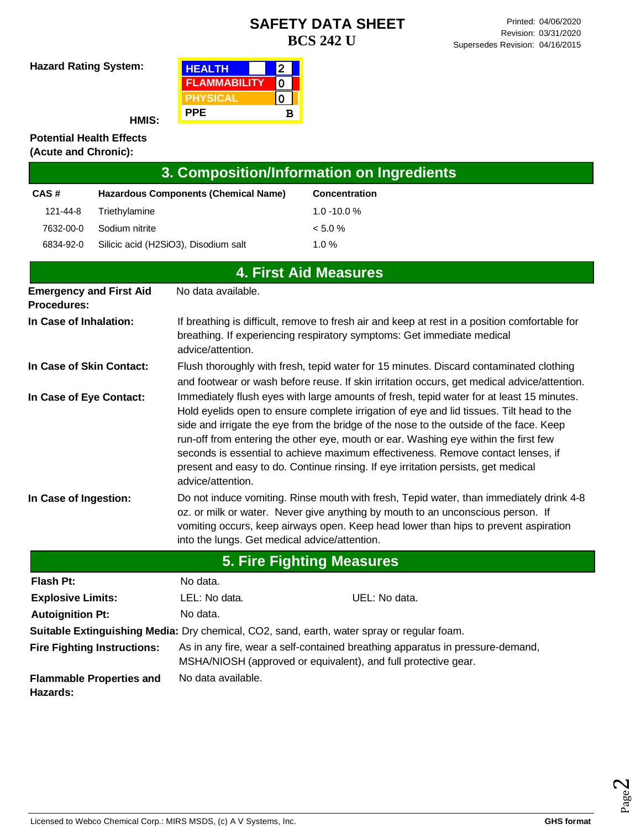**Hazard Rating System:**

| <b>HEALTH</b>       |   |  |
|---------------------|---|--|
| <b>FLAMMABILITY</b> |   |  |
| <b>PHYSICAL</b>     |   |  |
| <b>PPE</b>          | в |  |

**HMIS:**

#### **Potential Health Effects (Acute and Chronic):**

| 3. Composition/Information on Ingredients            |                                                                                                                                                                                                                                                                                                                    |                                                                                                                                                                                                                                                                                                                                                                                                                                                                                                                                                |  |  |
|------------------------------------------------------|--------------------------------------------------------------------------------------------------------------------------------------------------------------------------------------------------------------------------------------------------------------------------------------------------------------------|------------------------------------------------------------------------------------------------------------------------------------------------------------------------------------------------------------------------------------------------------------------------------------------------------------------------------------------------------------------------------------------------------------------------------------------------------------------------------------------------------------------------------------------------|--|--|
| CAS#                                                 | <b>Hazardous Components (Chemical Name)</b>                                                                                                                                                                                                                                                                        | <b>Concentration</b>                                                                                                                                                                                                                                                                                                                                                                                                                                                                                                                           |  |  |
| 121-44-8<br>Triethylamine                            |                                                                                                                                                                                                                                                                                                                    | $1.0 - 10.0 %$                                                                                                                                                                                                                                                                                                                                                                                                                                                                                                                                 |  |  |
| 7632-00-0<br>Sodium nitrite                          |                                                                                                                                                                                                                                                                                                                    | < 5.0 %                                                                                                                                                                                                                                                                                                                                                                                                                                                                                                                                        |  |  |
| 6834-92-0                                            | Silicic acid (H2SiO3), Disodium salt                                                                                                                                                                                                                                                                               | 1.0%                                                                                                                                                                                                                                                                                                                                                                                                                                                                                                                                           |  |  |
|                                                      |                                                                                                                                                                                                                                                                                                                    | <b>4. First Aid Measures</b>                                                                                                                                                                                                                                                                                                                                                                                                                                                                                                                   |  |  |
| <b>Emergency and First Aid</b><br><b>Procedures:</b> | No data available.                                                                                                                                                                                                                                                                                                 |                                                                                                                                                                                                                                                                                                                                                                                                                                                                                                                                                |  |  |
| In Case of Inhalation:                               | advice/attention.                                                                                                                                                                                                                                                                                                  | If breathing is difficult, remove to fresh air and keep at rest in a position comfortable for<br>breathing. If experiencing respiratory symptoms: Get immediate medical                                                                                                                                                                                                                                                                                                                                                                        |  |  |
| In Case of Skin Contact:                             | Flush thoroughly with fresh, tepid water for 15 minutes. Discard contaminated clothing<br>and footwear or wash before reuse. If skin irritation occurs, get medical advice/attention.                                                                                                                              |                                                                                                                                                                                                                                                                                                                                                                                                                                                                                                                                                |  |  |
| In Case of Eye Contact:                              | advice/attention.                                                                                                                                                                                                                                                                                                  | Immediately flush eyes with large amounts of fresh, tepid water for at least 15 minutes.<br>Hold eyelids open to ensure complete irrigation of eye and lid tissues. Tilt head to the<br>side and irrigate the eye from the bridge of the nose to the outside of the face. Keep<br>run-off from entering the other eye, mouth or ear. Washing eye within the first few<br>seconds is essential to achieve maximum effectiveness. Remove contact lenses, if<br>present and easy to do. Continue rinsing. If eye irritation persists, get medical |  |  |
| In Case of Ingestion:                                | Do not induce vomiting. Rinse mouth with fresh, Tepid water, than immediately drink 4-8<br>oz. or milk or water. Never give anything by mouth to an unconscious person. If<br>vomiting occurs, keep airways open. Keep head lower than hips to prevent aspiration<br>into the lungs. Get medical advice/attention. |                                                                                                                                                                                                                                                                                                                                                                                                                                                                                                                                                |  |  |
| <b>5. Fire Fighting Measures</b>                     |                                                                                                                                                                                                                                                                                                                    |                                                                                                                                                                                                                                                                                                                                                                                                                                                                                                                                                |  |  |
| Flash Pt:                                            | No data.                                                                                                                                                                                                                                                                                                           |                                                                                                                                                                                                                                                                                                                                                                                                                                                                                                                                                |  |  |
| <b>Explosive Limits:</b>                             | LEL: No data.                                                                                                                                                                                                                                                                                                      | UEL: No data.                                                                                                                                                                                                                                                                                                                                                                                                                                                                                                                                  |  |  |
| <b>Autoignition Pt:</b>                              | No data.<br>steelste Englis onderhinen Medical Dun ehemateel. OOO een al-een ihm soorten.                                                                                                                                                                                                                          |                                                                                                                                                                                                                                                                                                                                                                                                                                                                                                                                                |  |  |

**Suitable Extinguishing Media:** Dry chemical, CO2, sand, earth, water spray or regular foam. **Fire Fighting Instructions:** As in any fire, wear a self-contained breathing apparatus in pressure-demand,

MSHA/NIOSH (approved or equivalent), and full protective gear.

**Flammable Properties and**  No data available.

**Hazards:**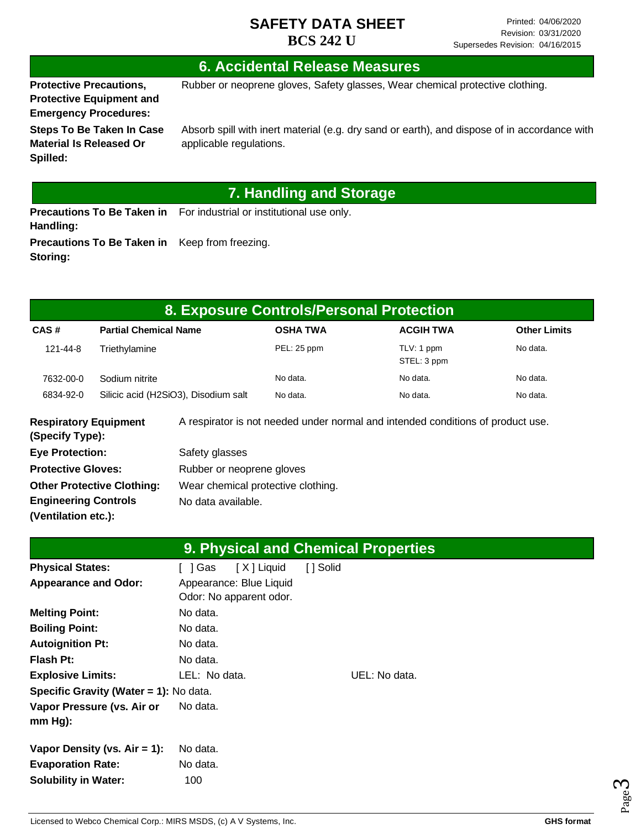### **6. Accidental Release Measures**

**Protective Precautions, Protective Equipment and Emergency Procedures:**

**Spilled:**

**Storing:**

Rubber or neoprene gloves, Safety glasses, Wear chemical protective clothing.

**Steps To Be Taken In Case Material Is Released Or** 

Absorb spill with inert material (e.g. dry sand or earth), and dispose of in accordance with applicable regulations.

# **7. Handling and Storage**

**Precautions To Be Taken in** For industrial or institutional use only. **Handling: Precautions To Be Taken in**  Keep from freezing.

| 8. Exposure Controls/Personal Protection        |                              |                                      |                 |                                                                                 |                     |
|-------------------------------------------------|------------------------------|--------------------------------------|-----------------|---------------------------------------------------------------------------------|---------------------|
| CAS#                                            | <b>Partial Chemical Name</b> |                                      | <b>OSHA TWA</b> | <b>ACGIH TWA</b>                                                                | <b>Other Limits</b> |
| 121-44-8                                        | Triethylamine                |                                      | PEL: 25 ppm     | TLV: 1 ppm<br>STEL: 3 ppm                                                       | No data.            |
| 7632-00-0                                       | Sodium nitrite               |                                      | No data.        | No data.                                                                        | No data.            |
| 6834-92-0                                       |                              | Silicic acid (H2SiO3), Disodium salt | No data.        | No data.                                                                        | No data.            |
| <b>Respiratory Equipment</b><br>(Specify Type): |                              |                                      |                 | A respirator is not needed under normal and intended conditions of product use. |                     |
| <b>Eye Protection:</b>                          |                              | Safety glasses                       |                 |                                                                                 |                     |

| ___________                       |                                    |
|-----------------------------------|------------------------------------|
| <b>Protective Gloves:</b>         | Rubber or neoprene gloves          |
| <b>Other Protective Clothing:</b> | Wear chemical protective clothing. |
| <b>Engineering Controls</b>       | No data available.                 |
| (Ventilation etc.):               |                                    |

|                                        |                         | 9. Physical and Chemical Properties |  |
|----------------------------------------|-------------------------|-------------------------------------|--|
| <b>Physical States:</b>                | [X] Liquid<br>[ 1 Gas   | [ ] Solid                           |  |
| <b>Appearance and Odor:</b>            | Appearance: Blue Liquid |                                     |  |
|                                        | Odor: No apparent odor. |                                     |  |
| <b>Melting Point:</b>                  | No data.                |                                     |  |
| <b>Boiling Point:</b>                  | No data.                |                                     |  |
| <b>Autoignition Pt:</b>                | No data.                |                                     |  |
| <b>Flash Pt:</b>                       | No data.                |                                     |  |
| <b>Explosive Limits:</b>               | LEL: No data.           | UEL: No data.                       |  |
| Specific Gravity (Water = 1): No data. |                         |                                     |  |
| Vapor Pressure (vs. Air or             | No data.                |                                     |  |
| $mm Hg$ :                              |                         |                                     |  |
| Vapor Density (vs. $Air = 1$ ):        | No data.                |                                     |  |
| <b>Evaporation Rate:</b>               | No data.                |                                     |  |
| <b>Solubility in Water:</b>            | 100                     |                                     |  |

Page ო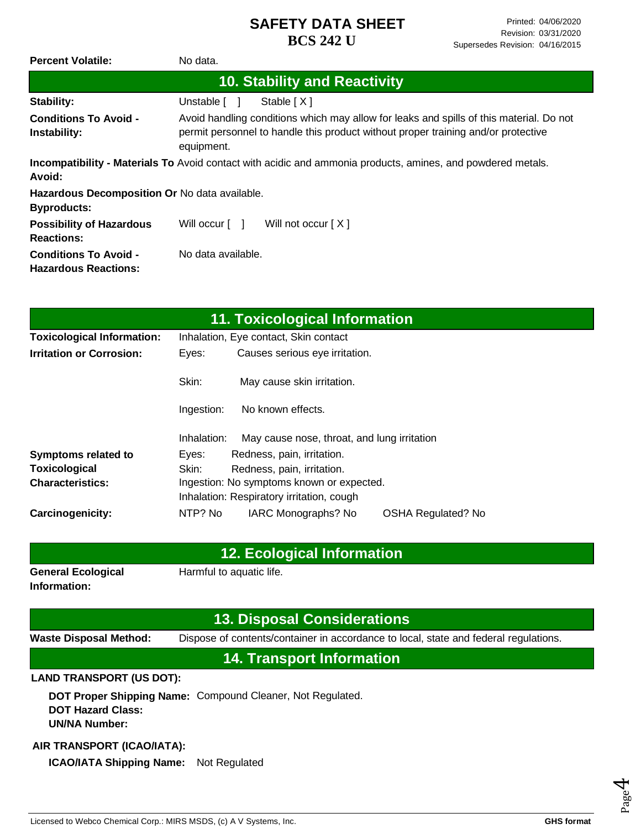| <b>Percent Volatile:</b>                                            | No data.                                                                                                                                                                                   |
|---------------------------------------------------------------------|--------------------------------------------------------------------------------------------------------------------------------------------------------------------------------------------|
|                                                                     | <b>10. Stability and Reactivity</b>                                                                                                                                                        |
| Stability:                                                          | Unstable [ ]<br>Stable $[X]$                                                                                                                                                               |
| <b>Conditions To Avoid -</b><br>Instability:                        | Avoid handling conditions which may allow for leaks and spills of this material. Do not<br>permit personnel to handle this product without proper training and/or protective<br>equipment. |
| Avoid:                                                              | <b>Incompatibility - Materials To</b> Avoid contact with acidic and ammonia products, amines, and powdered metals.                                                                         |
| Hazardous Decomposition Or No data available.<br><b>Byproducts:</b> |                                                                                                                                                                                            |
| <b>Possibility of Hazardous</b><br><b>Reactions:</b>                | Will occur $\lceil \quad \rceil$<br>Will not occur $[X]$                                                                                                                                   |
| <b>Conditions To Avoid -</b><br><b>Hazardous Reactions:</b>         | No data available.                                                                                                                                                                         |

|                                   |                                           | 11. Toxicological Information               |                           |
|-----------------------------------|-------------------------------------------|---------------------------------------------|---------------------------|
| <b>Toxicological Information:</b> |                                           | Inhalation, Eye contact, Skin contact       |                           |
| <b>Irritation or Corrosion:</b>   | Eyes:                                     | Causes serious eye irritation.              |                           |
|                                   | Skin:                                     | May cause skin irritation.                  |                           |
|                                   | Ingestion:                                | No known effects.                           |                           |
|                                   | Inhalation:                               | May cause nose, throat, and lung irritation |                           |
| <b>Symptoms related to</b>        | Eyes:                                     | Redness, pain, irritation.                  |                           |
| <b>Toxicological</b>              | Skin:                                     | Redness, pain, irritation.                  |                           |
| <b>Characteristics:</b>           | Ingestion: No symptoms known or expected. |                                             |                           |
|                                   | Inhalation: Respiratory irritation, cough |                                             |                           |
| Carcinogenicity:                  | NTP? No                                   | IARC Monographs? No                         | <b>OSHA Regulated? No</b> |

### **12. Ecological Information**

**General Ecological Information:**

Harmful to aquatic life.

### **13. Disposal Considerations**

**Waste Disposal Method:** Dispose of contents/container in accordance to local, state and federal regulations.

## **14. Transport Information**

### **LAND TRANSPORT (US DOT):**

**DOT Proper Shipping Name:**  Compound Cleaner, Not Regulated. **DOT Hazard Class: UN/NA Number:**

### **AIR TRANSPORT (ICAO/IATA):**

**ICAO/IATA Shipping Name:** Not Regulated

Page 4